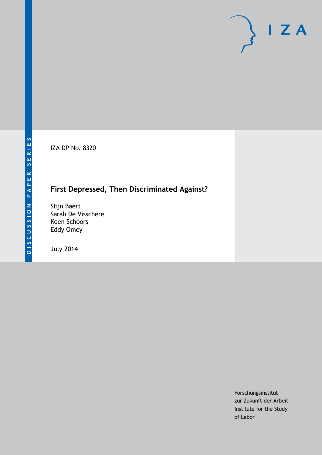IZA DP No. 8320

# **First Depressed, Then Discriminated Against?**

Stijn Baert Sarah De Visschere Koen Schoors Eddy Omey

July 2014

Forschungsinstitut zur Zukunft der Arbeit Institute for the Study of Labor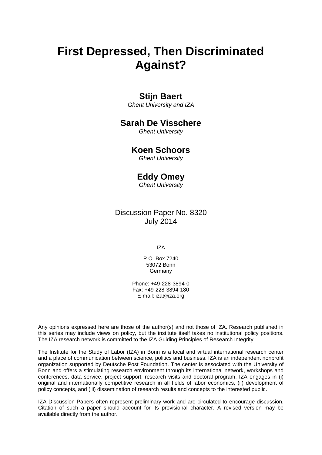# **First Depressed, Then Discriminated Against?**

### **Stijn Baert**

*Ghent University and IZA*

### **Sarah De Visschere**

*Ghent University*

### **Koen Schoors**

*Ghent University*

### **Eddy Omey**

*Ghent University*

### Discussion Paper No. 8320 July 2014

IZA

P.O. Box 7240 53072 Bonn **Germany** 

Phone: +49-228-3894-0 Fax: +49-228-3894-180 E-mail: [iza@iza.org](mailto:iza@iza.org)

Any opinions expressed here are those of the author(s) and not those of IZA. Research published in this series may include views on policy, but the institute itself takes no institutional policy positions. The IZA research network is committed to the IZA Guiding Principles of Research Integrity.

The Institute for the Study of Labor (IZA) in Bonn is a local and virtual international research center and a place of communication between science, politics and business. IZA is an independent nonprofit organization supported by Deutsche Post Foundation. The center is associated with the University of Bonn and offers a stimulating research environment through its international network, workshops and conferences, data service, project support, research visits and doctoral program. IZA engages in (i) original and internationally competitive research in all fields of labor economics, (ii) development of policy concepts, and (iii) dissemination of research results and concepts to the interested public.

IZA Discussion Papers often represent preliminary work and are circulated to encourage discussion. Citation of such a paper should account for its provisional character. A revised version may be available directly from the author.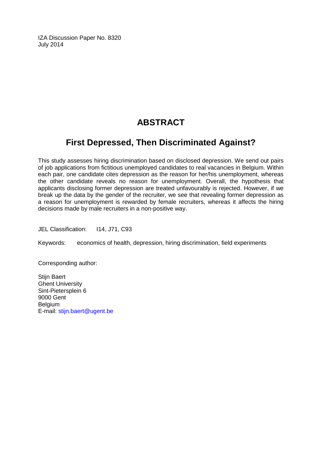IZA Discussion Paper No. 8320 July 2014

# **ABSTRACT**

# **First Depressed, Then Discriminated Against?**

This study assesses hiring discrimination based on disclosed depression. We send out pairs of job applications from fictitious unemployed candidates to real vacancies in Belgium. Within each pair, one candidate cites depression as the reason for her/his unemployment, whereas the other candidate reveals no reason for unemployment. Overall, the hypothesis that applicants disclosing former depression are treated unfavourably is rejected. However, if we break up the data by the gender of the recruiter, we see that revealing former depression as a reason for unemployment is rewarded by female recruiters, whereas it affects the hiring decisions made by male recruiters in a non-positive way.

JEL Classification: I14, J71, C93

Keywords: economics of health, depression, hiring discrimination, field experiments

Corresponding author:

Stijn Baert Ghent University Sint-Pietersplein 6 9000 Gent Belgium E-mail: [stijn.baert@ugent.be](mailto:stijn.baert@ugent.be)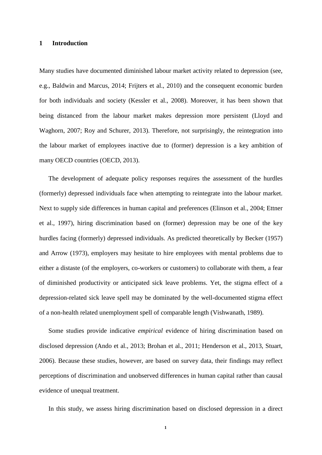#### **1 Introduction**

Many studies have documented diminished labour market activity related to depression (see, e.g., Baldwin and Marcus, 2014; Frijters et al., 2010) and the consequent economic burden for both individuals and society (Kessler et al., 2008). Moreover, it has been shown that being distanced from the labour market makes depression more persistent (Lloyd and Waghorn, 2007; Roy and Schurer, 2013). Therefore, not surprisingly, the reintegration into the labour market of employees inactive due to (former) depression is a key ambition of many OECD countries (OECD, 2013).

The development of adequate policy responses requires the assessment of the hurdles (formerly) depressed individuals face when attempting to reintegrate into the labour market. Next to supply side differences in human capital and preferences (Elinson et al., 2004; Ettner et al., 1997), hiring discrimination based on (former) depression may be one of the key hurdles facing (formerly) depressed individuals. As predicted theoretically by Becker (1957) and Arrow (1973), employers may hesitate to hire employees with mental problems due to either a distaste (of the employers, co-workers or customers) to collaborate with them, a fear of diminished productivity or anticipated sick leave problems. Yet, the stigma effect of a depression-related sick leave spell may be dominated by the well-documented stigma effect of a non-health related unemployment spell of comparable length (Vishwanath, 1989).

Some studies provide indicative *empirical* evidence of hiring discrimination based on disclosed depression (Ando et al., 2013; Brohan et al., 2011; Henderson et al., 2013, Stuart, 2006). Because these studies, however, are based on survey data, their findings may reflect perceptions of discrimination and unobserved differences in human capital rather than causal evidence of unequal treatment.

In this study, we assess hiring discrimination based on disclosed depression in a direct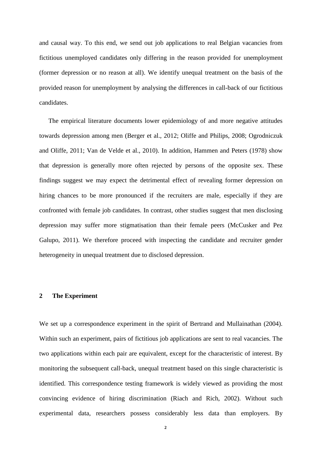and causal way. To this end, we send out job applications to real Belgian vacancies from fictitious unemployed candidates only differing in the reason provided for unemployment (former depression or no reason at all). We identify unequal treatment on the basis of the provided reason for unemployment by analysing the differences in call-back of our fictitious candidates.

The empirical literature documents lower epidemiology of and more negative attitudes towards depression among men (Berger et al., 2012; Oliffe and Philips, 2008; Ogrodniczuk and Oliffe, 2011; Van de Velde et al., 2010). In addition, Hammen and Peters (1978) show that depression is generally more often rejected by persons of the opposite sex. These findings suggest we may expect the detrimental effect of revealing former depression on hiring chances to be more pronounced if the recruiters are male, especially if they are confronted with female job candidates. In contrast, other studies suggest that men disclosing depression may suffer more stigmatisation than their female peers (McCusker and Pez Galupo, 2011). We therefore proceed with inspecting the candidate and recruiter gender heterogeneity in unequal treatment due to disclosed depression.

#### **2 The Experiment**

We set up a correspondence experiment in the spirit of Bertrand and Mullainathan (2004). Within such an experiment, pairs of fictitious job applications are sent to real vacancies. The two applications within each pair are equivalent, except for the characteristic of interest. By monitoring the subsequent call-back, unequal treatment based on this single characteristic is identified. This correspondence testing framework is widely viewed as providing the most convincing evidence of hiring discrimination (Riach and Rich, 2002). Without such experimental data, researchers possess considerably less data than employers. By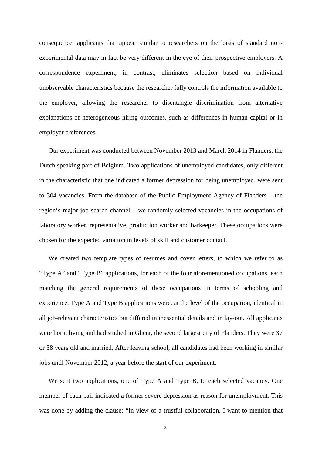consequence, applicants that appear similar to researchers on the basis of standard nonexperimental data may in fact be very different in the eye of their prospective employers. A correspondence experiment, in contrast, eliminates selection based on individual unobservable characteristics because the researcher fully controls the information available to the employer, allowing the researcher to disentangle discrimination from alternative explanations of heterogeneous hiring outcomes, such as differences in human capital or in employer preferences.

Our experiment was conducted between November 2013 and March 2014 in Flanders, the Dutch speaking part of Belgium. Two applications of unemployed candidates, only different in the characteristic that one indicated a former depression for being unemployed, were sent to 304 vacancies. From the database of the Public Employment Agency of Flanders – the region's major job search channel – we randomly selected vacancies in the occupations of laboratory worker, representative, production worker and barkeeper. These occupations were chosen for the expected variation in levels of skill and customer contact.

We created two template types of resumes and cover letters, to which we refer to as "Type A" and "Type B" applications, for each of the four aforementioned occupations, each matching the general requirements of these occupations in terms of schooling and experience. Type A and Type B applications were, at the level of the occupation, identical in all job-relevant characteristics but differed in inessential details and in lay-out. All applicants were born, living and had studied in Ghent, the second largest city of Flanders. They were 37 or 38 years old and married. After leaving school, all candidates had been working in similar jobs until November 2012, a year before the start of our experiment.

We sent two applications, one of Type A and Type B, to each selected vacancy. One member of each pair indicated a former severe depression as reason for unemployment. This was done by adding the clause: "In view of a trustful collaboration, I want to mention that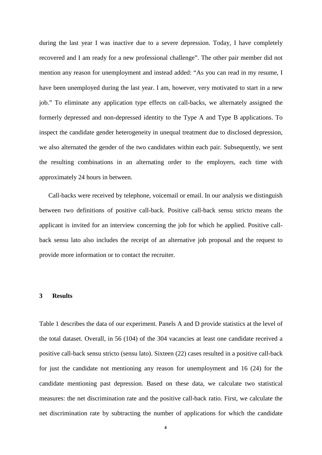during the last year I was inactive due to a severe depression. Today, I have completely recovered and I am ready for a new professional challenge". The other pair member did not mention any reason for unemployment and instead added: "As you can read in my resume, I have been unemployed during the last year. I am, however, very motivated to start in a new job." To eliminate any application type effects on call-backs, we alternately assigned the formerly depressed and non-depressed identity to the Type A and Type B applications. To inspect the candidate gender heterogeneity in unequal treatment due to disclosed depression, we also alternated the gender of the two candidates within each pair. Subsequently, we sent the resulting combinations in an alternating order to the employers, each time with approximately 24 hours in between.

Call-backs were received by telephone, voicemail or email. In our analysis we distinguish between two definitions of positive call-back. Positive call-back sensu stricto means the applicant is invited for an interview concerning the job for which he applied. Positive callback sensu lato also includes the receipt of an alternative job proposal and the request to provide more information or to contact the recruiter.

#### **3 Results**

Table 1 describes the data of our experiment. Panels A and D provide statistics at the level of the total dataset. Overall, in 56 (104) of the 304 vacancies at least one candidate received a positive call-back sensu stricto (sensu lato). Sixteen (22) cases resulted in a positive call-back for just the candidate not mentioning any reason for unemployment and 16 (24) for the candidate mentioning past depression. Based on these data, we calculate two statistical measures: the net discrimination rate and the positive call-back ratio. First, we calculate the net discrimination rate by subtracting the number of applications for which the candidate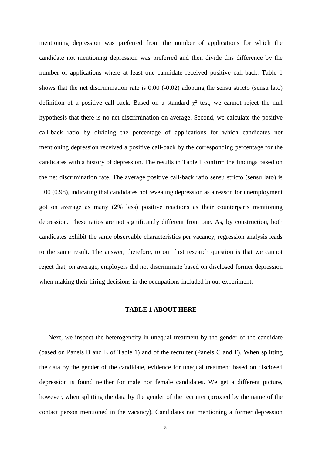mentioning depression was preferred from the number of applications for which the candidate not mentioning depression was preferred and then divide this difference by the number of applications where at least one candidate received positive call-back. Table 1 shows that the net discrimination rate is  $0.00$  (-0.02) adopting the sensu stricto (sensu lato) definition of a positive call-back. Based on a standard  $\chi^2$  test, we cannot reject the null hypothesis that there is no net discrimination on average. Second, we calculate the positive call-back ratio by dividing the percentage of applications for which candidates not mentioning depression received a positive call-back by the corresponding percentage for the candidates with a history of depression. The results in Table 1 confirm the findings based on the net discrimination rate. The average positive call-back ratio sensu stricto (sensu lato) is 1.00 (0.98), indicating that candidates not revealing depression as a reason for unemployment got on average as many (2% less) positive reactions as their counterparts mentioning depression. These ratios are not significantly different from one. As, by construction, both candidates exhibit the same observable characteristics per vacancy, regression analysis leads to the same result. The answer, therefore, to our first research question is that we cannot reject that, on average, employers did not discriminate based on disclosed former depression when making their hiring decisions in the occupations included in our experiment.

#### **TABLE 1 ABOUT HERE**

Next, we inspect the heterogeneity in unequal treatment by the gender of the candidate (based on Panels B and E of Table 1) and of the recruiter (Panels C and F). When splitting the data by the gender of the candidate, evidence for unequal treatment based on disclosed depression is found neither for male nor female candidates. We get a different picture, however, when splitting the data by the gender of the recruiter (proxied by the name of the contact person mentioned in the vacancy). Candidates not mentioning a former depression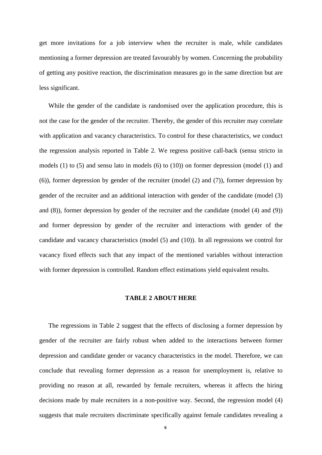get more invitations for a job interview when the recruiter is male, while candidates mentioning a former depression are treated favourably by women. Concerning the probability of getting any positive reaction, the discrimination measures go in the same direction but are less significant.

While the gender of the candidate is randomised over the application procedure, this is not the case for the gender of the recruiter. Thereby, the gender of this recruiter may correlate with application and vacancy characteristics. To control for these characteristics, we conduct the regression analysis reported in Table 2. We regress positive call-back (sensu stricto in models (1) to (5) and sensu lato in models (6) to (10)) on former depression (model (1) and (6)), former depression by gender of the recruiter (model (2) and (7)), former depression by gender of the recruiter and an additional interaction with gender of the candidate (model (3) and (8)), former depression by gender of the recruiter and the candidate (model (4) and (9)) and former depression by gender of the recruiter and interactions with gender of the candidate and vacancy characteristics (model (5) and (10)). In all regressions we control for vacancy fixed effects such that any impact of the mentioned variables without interaction with former depression is controlled. Random effect estimations yield equivalent results.

#### **TABLE 2 ABOUT HERE**

The regressions in Table 2 suggest that the effects of disclosing a former depression by gender of the recruiter are fairly robust when added to the interactions between former depression and candidate gender or vacancy characteristics in the model. Therefore, we can conclude that revealing former depression as a reason for unemployment is, relative to providing no reason at all, rewarded by female recruiters, whereas it affects the hiring decisions made by male recruiters in a non-positive way. Second, the regression model (4) suggests that male recruiters discriminate specifically against female candidates revealing a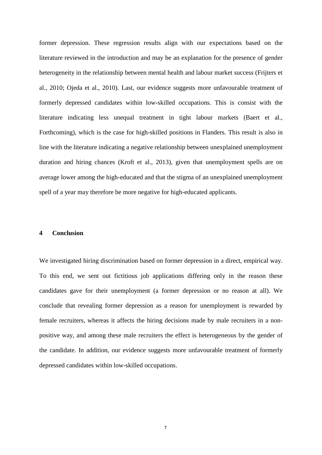former depression. These regression results align with our expectations based on the literature reviewed in the introduction and may be an explanation for the presence of gender heterogeneity in the relationship between mental health and labour market success (Frijters et al., 2010; Ojeda et al., 2010). Last, our evidence suggests more unfavourable treatment of formerly depressed candidates within low-skilled occupations. This is consist with the literature indicating less unequal treatment in tight labour markets (Baert et al., Forthcoming), which is the case for high-skilled positions in Flanders. This result is also in line with the literature indicating a negative relationship between unexplained unemployment duration and hiring chances (Kroft et al., 2013), given that unemployment spells are on average lower among the high-educated and that the stigma of an unexplained unemployment spell of a year may therefore be more negative for high-educated applicants.

#### **4 Conclusion**

We investigated hiring discrimination based on former depression in a direct, empirical way. To this end, we sent out fictitious job applications differing only in the reason these candidates gave for their unemployment (a former depression or no reason at all). We conclude that revealing former depression as a reason for unemployment is rewarded by female recruiters, whereas it affects the hiring decisions made by male recruiters in a nonpositive way, and among these male recruiters the effect is heterogeneous by the gender of the candidate. In addition, our evidence suggests more unfavourable treatment of formerly depressed candidates within low-skilled occupations.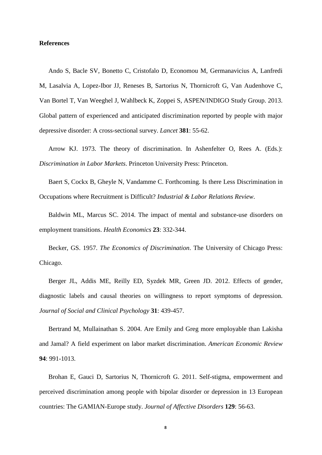#### **References**

Ando S, Bacle SV, Bonetto C, Cristofalo D, Economou M, Germanavicius A, Lanfredi M, Lasalvia A, Lopez-Ibor JJ, Reneses B, Sartorius N, Thornicroft G, Van Audenhove C, Van Bortel T, Van Weeghel J, Wahlbeck K, Zoppei S, ASPEN/INDIGO Study Group. 2013. Global pattern of experienced and anticipated discrimination reported by people with major depressive disorder: A cross-sectional survey. *Lancet* **381**: 55-62.

Arrow KJ. 1973. The theory of discrimination. In Ashenfelter O, Rees A. (Eds.): *Discrimination in Labor Markets*. Princeton University Press: Princeton.

Baert S, Cockx B, Gheyle N, Vandamme C. Forthcoming. Is there Less Discrimination in Occupations where Recruitment is Difficult? *Industrial & Labor Relations Review*.

Baldwin ML, Marcus SC. 2014. The impact of mental and substance-use disorders on employment transitions. *Health Economics* **23**: 332-344.

Becker, GS. 1957. *The Economics of Discrimination*. The University of Chicago Press: Chicago.

Berger JL, Addis ME, Reilly ED, Syzdek MR, Green JD. 2012. Effects of gender, diagnostic labels and causal theories on willingness to report symptoms of depression. *Journal of Social and Clinical Psychology* **31**: 439-457.

Bertrand M, Mullainathan S. 2004. Are Emily and Greg more employable than Lakisha and Jamal? A field experiment on labor market discrimination. *American Economic Review* **94**: 991-1013.

Brohan E, Gauci D, Sartorius N, Thornicroft G. 2011. Self-stigma, empowerment and perceived discrimination among people with bipolar disorder or depression in 13 European countries: The GAMIAN-Europe study. *Journal of Affective Disorders* **129**: 56-63.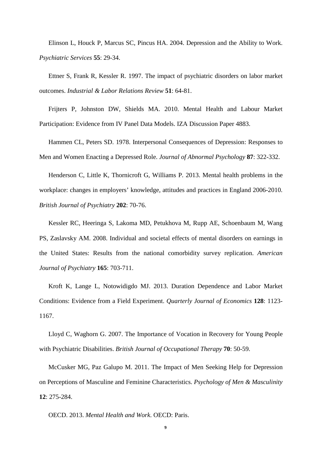Elinson L, Houck P, Marcus SC, Pincus HA. 2004. Depression and the Ability to Work. *Psychiatric Services* **55**: 29-34.

Ettner S, Frank R, Kessler R. 1997. The impact of psychiatric disorders on labor market outcomes. *Industrial & Labor Relations Review* **51**: 64-81.

Frijters P, Johnston DW, Shields MA. 2010. Mental Health and Labour Market Participation: Evidence from IV Panel Data Models. IZA Discussion Paper 4883.

Hammen CL, Peters SD. 1978. Interpersonal Consequences of Depression: Responses to Men and Women Enacting a Depressed Role. *Journal of Abnormal Psychology* **87**: 322-332.

Henderson C, Little K, Thornicroft G, Williams P. 2013. Mental health problems in the workplace: changes in employers' knowledge, attitudes and practices in England 2006-2010. *British Journal of Psychiatry* **202**: 70-76.

Kessler RC, Heeringa S, Lakoma MD, Petukhova M, Rupp AE, Schoenbaum M, Wang PS, Zaslavsky AM. 2008. Individual and societal effects of mental disorders on earnings in the United States: Results from the national comorbidity survey replication. *American Journal of Psychiatry* **165**: 703-711.

Kroft K, Lange L, Notowidigdo MJ. 2013. Duration Dependence and Labor Market Conditions: Evidence from a Field Experiment. *Quarterly Journal of Economics* **128**: 1123- 1167.

Lloyd C, Waghorn G. 2007. The Importance of Vocation in Recovery for Young People with Psychiatric Disabilities. *British Journal of Occupational Therapy* **70**: 50-59.

McCusker MG, Paz Galupo M. 2011. The Impact of Men Seeking Help for Depression on Perceptions of Masculine and Feminine Characteristics. *Psychology of Men & Masculinity* **12**: 275-284.

OECD. 2013. *Mental Health and Work*. OECD: Paris.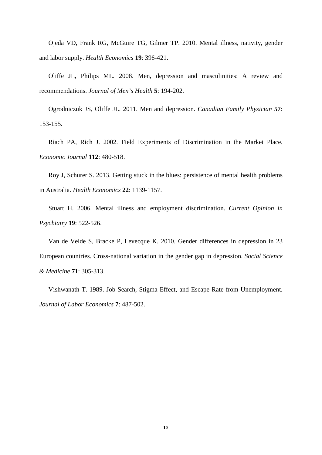Ojeda VD, Frank RG, McGuire TG, Gilmer TP. 2010. Mental illness, nativity, gender and labor supply. *Health Economics* **19**: 396-421.

Oliffe JL, Philips ML. 2008. Men, depression and masculinities: A review and recommendations. *Journal of Men's Health* **5**: 194-202.

Ogrodniczuk JS, Oliffe JL. 2011. Men and depression. *Canadian Family Physician* **57**: 153-155.

Riach PA, Rich J. 2002. Field Experiments of Discrimination in the Market Place. *Economic Journal* **112**: 480-518.

Roy J, Schurer S. 2013. Getting stuck in the blues: persistence of mental health problems in Australia. *Health Economics* **22**: 1139-1157.

Stuart H. 2006. Mental illness and employment discrimination. *Current Opinion in Psychiatry* **19**: 522-526.

Van de Velde S, Bracke P, Levecque K. 2010. Gender differences in depression in 23 European countries. Cross-national variation in the gender gap in depression. *Social Science & Medicine* **71**: 305-313.

Vishwanath T. 1989. Job Search, Stigma Effect, and Escape Rate from Unemployment. *Journal of Labor Economics* **7**: 487-502.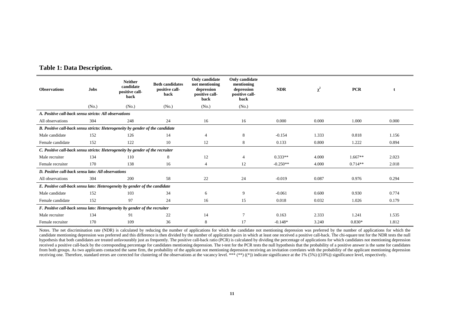| <b>Observations</b>                                                           | <b>Jobs</b> | <b>Neither</b><br>candidate<br>positive call-<br>back | <b>Both candidates</b><br>positive call-<br>back | Only candidate<br>not mentioning<br>depression<br>positive call-<br>back | Only candidate<br>mentioning<br>depression<br>positive call-<br>back | <b>NDR</b> | $\chi^2$ | <b>PCR</b> |       |  |
|-------------------------------------------------------------------------------|-------------|-------------------------------------------------------|--------------------------------------------------|--------------------------------------------------------------------------|----------------------------------------------------------------------|------------|----------|------------|-------|--|
|                                                                               | (No.)       | (No.)                                                 | (No.)                                            | (No.)                                                                    | (No.)                                                                |            |          |            |       |  |
| A. Positive call-back sensu stricto: All observations                         |             |                                                       |                                                  |                                                                          |                                                                      |            |          |            |       |  |
| All observations                                                              | 304         | 248                                                   | 24                                               | 16                                                                       | 16                                                                   | 0.000      | 0.000    | 1.000      | 0.000 |  |
| B. Positive call-back sensu stricto: Heterogeneity by gender of the candidate |             |                                                       |                                                  |                                                                          |                                                                      |            |          |            |       |  |
| Male candidate                                                                | 152         | 126                                                   | 14                                               | $\overline{4}$                                                           | 8                                                                    | $-0.154$   | 1.333    | 0.818      | 1.156 |  |
| Female candidate                                                              | 152         | 122                                                   | 10                                               | 12                                                                       | 8                                                                    | 0.133      | 0.800    | 1.222      | 0.894 |  |
| C. Positive call-back sensu stricto: Heterogeneity by gender of the recruiter |             |                                                       |                                                  |                                                                          |                                                                      |            |          |            |       |  |
| Male recruiter                                                                | 134         | 110                                                   | 8                                                | 12                                                                       |                                                                      | $0.333**$  | 4.000    | $1.667**$  | 2.023 |  |
| Female recruiter                                                              | 170         | 138                                                   | 16                                               | $\overline{4}$                                                           | 12                                                                   | $-0.250**$ | 4.000    | $0.714**$  | 2.018 |  |
| D. Positive call-back sensu lato: All observations                            |             |                                                       |                                                  |                                                                          |                                                                      |            |          |            |       |  |
| All observations                                                              | 304         | 200                                                   | 58                                               | 22                                                                       | 24                                                                   | $-0.019$   | 0.087    | 0.976      | 0.294 |  |
| E. Positive call-back sensu lato: Heterogeneity by gender of the candidate    |             |                                                       |                                                  |                                                                          |                                                                      |            |          |            |       |  |
| Male candidate                                                                | 152         | 103                                                   | 34                                               | 6                                                                        | 9                                                                    | $-0.061$   | 0.600    | 0.930      | 0.774 |  |
| Female candidate                                                              | 152         | 97                                                    | 24                                               | 16                                                                       | 15                                                                   | 0.018      | 0.032    | 1.026      | 0.179 |  |
| F. Positive call-back sensu lato: Heterogeneity by gender of the recruiter    |             |                                                       |                                                  |                                                                          |                                                                      |            |          |            |       |  |
| Male recruiter                                                                | 134         | 91                                                    | 22                                               | 14                                                                       | $\overline{7}$                                                       | 0.163      | 2.333    | 1.241      | 1.535 |  |
| Female recruiter                                                              | 170         | 109                                                   | 36                                               | 8                                                                        | 17                                                                   | $-0.148*$  | 3.240    | $0.830*$   | 1.812 |  |

#### **Table 1: Data Description.**

Notes. The net discrimination rate (NDR) is calculated by reducing the number of applications for which the candidate not mentioning depression was preferred by the number of applications for which the candidate mentioning depression was preferred and this difference is then divided by the number of application pairs in which at least one received a positive call-back. The chi-square test for the NDR tests the null hypothesis that both candidates are treated unfavourably just as frequently. The positive call-back ratio (PCR) is calculated by dividing the percentage of applications for which candidates not mentioning depression received a positive call-back by the corresponding percentage for candidates mentioning depression. The t-test for the PCR tests the null hypothesis that the probability of a positive answer is the same for candidates from both groups. As two applicants contacted the same firm, the probability of the applicant not mentioning depression receiving an invitation correlates with the probability of the applicant mentioning depression receiving one. Therefore, standard errors are corrected for clustering of the observations at the vacancy level. \*\*\*  $(**)$  (\*)) indicate significance at the 1% (5%) ((10%)) significance level, respectively.